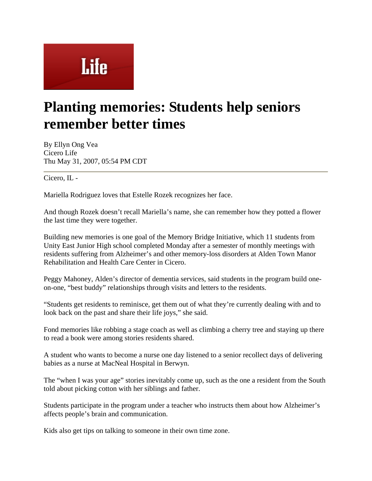## Life

## **Planting memories: Students help seniors remember better times**

By Ellyn Ong Vea Cicero Life Thu May 31, 2007, 05:54 PM CDT

Cicero, IL -

Mariella Rodriguez loves that Estelle Rozek recognizes her face.

And though Rozek doesn't recall Mariella's name, she can remember how they potted a flower the last time they were together.

Building new memories is one goal of the Memory Bridge Initiative, which 11 students from Unity East Junior High school completed Monday after a semester of monthly meetings with residents suffering from Alzheimer's and other memory-loss disorders at Alden Town Manor Rehabilitation and Health Care Center in Cicero.

Peggy Mahoney, Alden's director of dementia services, said students in the program build oneon-one, "best buddy" relationships through visits and letters to the residents.

"Students get residents to reminisce, get them out of what they're currently dealing with and to look back on the past and share their life joys," she said.

Fond memories like robbing a stage coach as well as climbing a cherry tree and staying up there to read a book were among stories residents shared.

A student who wants to become a nurse one day listened to a senior recollect days of delivering babies as a nurse at MacNeal Hospital in Berwyn.

The "when I was your age" stories inevitably come up, such as the one a resident from the South told about picking cotton with her siblings and father.

Students participate in the program under a teacher who instructs them about how Alzheimer's affects people's brain and communication.

Kids also get tips on talking to someone in their own time zone.